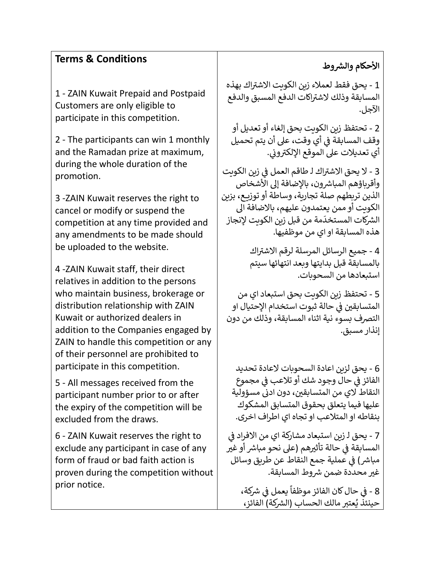## **1 Terms & Conditions**

1 - ZAIN Kuwait Prepaid and Postpaid Customers are only eligible to participate in this competition.

2 - The participants can win 1 monthly and the Ramadan prize at maximum, during the whole duration of the promotion.

3 -ZAIN Kuwait reserves the right to cancel or modify or suspend the competition at any time provided and any amendments to be made should be uploaded to the website.

4 -ZAIN Kuwait staff, their direct relatives in addition to the persons who maintain business, brokerage or distribution relationship with ZAIN Kuwait or authorized dealers in addition to the Companies engaged by ZAIN to handle this competition or any of their personnel are prohibited to participate in this competition.

5 - All messages received from the participant number prior to or after the expiry of the competition will be excluded from the draws.

6 - ZAIN Kuwait reserves the right to exclude any participant in case of any form of fraud or bad faith action is proven during the competition without prior notice.

## <mark>الأحكام</mark> والشروط

.<br>1 - يحق فقط لعملاء زين الكويت الاشتراك بهذه اكات الدفع المسبق والدفع المسابقة وذلك الشت <sup>ر</sup> الآجل.

2 - تحتفظ زين الكويت بحق إلغاء أو تعديل أو وقف المسابقة فى أي وقت، على أن يتم تحميل ي ֦֧֦֧֦֧֦֧֦֧֚֚֡֜֜֜ ر<br>أي تعديلات على الموقع الإلكتروني. ي

.<br>3 - لا يحق الاشتراك لـ طاقم العمل في زين الكويت ֦֧֢֦֧֦֧֦֧֦֧֚֚֡֜֜ وأقرباؤهم المباشرون، بالإضافة إلى الأشخاص الذين تربطهم صلة تجارية، وساطة أو توزيــع، بزين الكوىت أو ممن يعتمدون عليهم، بالاضافة الى مة من قبل زين الكويت إلنجاز معو<u>ج</u>ات رئيس<br>الشركات المستخدَ هذه المسابقة او اي من موظفيها.

> .<br>4 - جميع الرسائل المرسلة لرقم الاشتراك بالمسابقة قبل بدايتها وبعد انتهائها سيتم استبعادهامن السحوبات.

5 - تحتفظ زين الكويت بحق استبعاد اي من المتسابقين في حالة ثبوت استخدام الإحتيال او ي ֧֦֧֦֧֦֧֦֧֦֧֧֦֧֪֦֧֚֡֓֓֓֓֓֓֡֓֓֝֝֝֜֓֓֝֬֝֓֓֓֓֡֬֓֓֡֬ التصرف بسوء نية اثناء المسابقة، وذلك من دون إنذار مسبق.

6 - يحق لزين اعادة السحوبات العادة تحديد الفائز في حال وجود شك أو تلاعب في مجموع ي ֦֧֦֧֦֧֦֧֦֧֦֧֦֧֧֦֧֜֜֓֓֜֜ ֦֧֢֦֧֦֧֦֧֚֚֡֜֜֜ ري<br>النقاط لاي من المتسابقين، دون ادنى مسؤولية عليها فيما بتعلق بحقوق المتسابق المشكوك بنقاطه او المتالعب او تجاه اي اطراف اخرى.

ي 7 - يحق لـ زين استبعاد مشاركة اي من االفراد ف ֦֧֦֧֦֧֦֧֦֧֦֧֦֧֚֚֡֜֜֜֜֜ المسابقة في حالة تأثيرهم (على نحو مباشر أو غير ֦֧֢֦֧֦֧֦֧֦֧֚֚֡֜֜ مباشر) في عملية جمع النقاط عن طريق وسائل ֦֧֦֧֦֧֦֧֚֚֚֡֜֜֜֜ غير محددة ضمن شروط المسابقة. - 8 ً<br>أ في حال كان الفائز موظفاً يعمل في شركة،<br>. ֦֧֦֧֦֧֦֧֦֧֦֧֦֧֦֧֧֦֧֦֧ׅ֚֡֜֜֓֜֜֜֜֜֞֓֡֡֬֜֓֡֬ i

 ي حينئذ يُعتبر مالك الحساب (الشركة) الفائز، ُ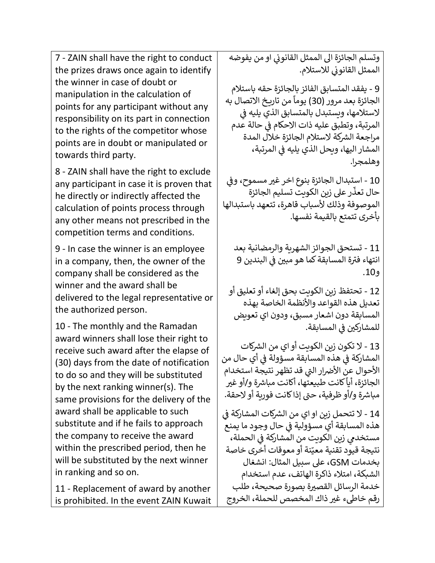7 - ZAIN shall have the right to conduct the prizes draws once again to identify the winner in case of doubt or manipulation in the calculation of points for any participant without any responsibility on its part in connection to the rights of the competitor whose points are in doubt or manipulated or towards third party.

8 - ZAIN shall have the right to exclude any participant in case it is proven that he directly or indirectly affected the calculation of points process through any other means not prescribed in the competition terms and conditions.

9 - In case the winner is an employee in a company, then, the owner of the company shall be considered as the winner and the award shall be delivered to the legal representative or the authorized person.

10 - The monthly and the Ramadan award winners shall lose their right to receive such award after the elapse of (30) days from the date of notification to do so and they will be substituted by the next ranking winner(s). The same provisions for the delivery of the award shall be applicable to such substitute and if he fails to approach the company to receive the award within the prescribed period, then he will be substituted by the next winner in ranking and so on.

11 - Replacement of award by another is prohibited. In the event ZAIN Kuwait .<br>وتسلم الجائزة الى الممثل القانوني او من يفوضه ي ر<br>الممثل القانوني للاستلام. ي

9 - يفقد المتسابق الفائز بالجائزة حقه باستالم ֧֖֖֧֝֬֓֓<u>֚</u>֖֚֓ الجائزة بعد مرور (30) يوماً من تاريخ الاتصال به لاستلامها، ويستبدل بالمتسابق الذي يليه في ֦֧֦֧֢ׅ֦֧֪֪֚֚֚֚֚֚֚֚֡֝֝֜֝֝֜֜֜֜֜֜֝֜֝֝ المرتبة، وتطبق عليه ذات الاحكام في حالة عدم ֦֧֢֦֧֦֧֦֧֦֧֚֚֡֜֜ مراجعة الشركة لاستلام الجائزة خلال المدة المشار اليها، ويحل الذي يليه في المرتبة، ي ֦֧֦֧֦֧֦֧֦֧֚֚֡֜֜ وهلمجرا.

10 - استبدال الجائزة بنوع اخر غير مسموح، وفي ֦֧֦֧֦֧֦֧֦֧֢֦֧֚֚֡֜֜֜֓֡֜֜ ر عىل زين الكويت تسليم الجائزة .<br>.<br>. حال تعذ الموصوفة وذلك لأسباب قاهرة، تتعهد باستبدالها بأخرى تتمتع بالقيمة نفسها.

11 - تستحق الجوائز الشهرية والرمضانية بعد .<br>انتهاء فترة المسابقة كما هو مبين في البندين 9 ي .<br>. و.10

12 - تحتفظ زين الكويت بحق إلغاء أو تعليق أو تعديل هذه القواعد واألنظمة الخاصة بهذه المسابقة دون اشعار مسبق، ودون اي تعويض للمشارك<mark>ين في المسابقة.</mark> ي .<br>.

13 - لا تكون زين الكويت أو اي من الشركات المشاركة في هذه المسابقة مسؤولة في أي حال من<br>... ي ֦֧֦֧֦֧֦֧֦֧֦֧֦֧֦֧֦֧֦֚֚֡֜֜֜֜֜֜֜֜֜֞ ֦֧֦֧֦֧֦֧֦֧֚֚֡֜֜֜ الأحوال عن الأضرار التي قد تظهر نتيجة استخدام ي كانت طبيعتها، أكانت مباشرة و/أو غير ا<br>أ الجائزة، أيا مباشرة و/أو ظرفية، حتى إذاكانت فورية أو لاحقة.

14 - لا تتحمل زين او اي من الشركات المشاركة في ֦֧֦֧֦֧֦֧֦֧֦֧֦֧֦֧֦֧֧֦֧֦֧֦֚֡֜֜֓֜֜֜֜֜֞ هذه المسابقة أي مسؤولية في حال وجود ما يمنع ֦֚֚֚֚֚֚֚֚֚֚֚֚֚֚֚֚֝֝֝֬֝֝֝֝֝֬֝֝֬֝<del>֛</del> مستخدمي زين الكويت من المشاركة في الحملة، ي ֧֦֧֦֧֚֡֓֓֓֓֓֓֓֓֓֝֝֓֓֡֓֓֓֡֬֓֓֓֡֬֝ ֧֖֦֧֦֧֦֧֚֚֚֝֝<u>֓</u> نتيجة قيود تقنية معيّنة أو معوقات أخرى خاصة بخدمات GSM، عىل سبيل المثال: انشغال الشبكة، امتالء ذاكرة الهاتف، عدم استخدام خدمة الرسائل القصيرة بصورة صحيحة، طلب رقم خاطيء غير ذاك المخصص للحملة، الخروج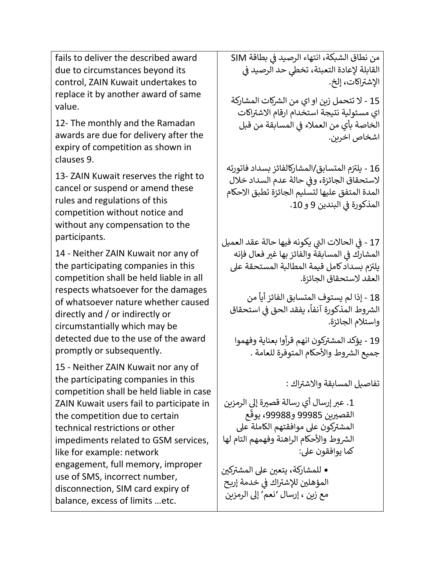fails to deliver the described award due to circumstances beyond its control, ZAIN Kuwait undertakes to replace it by another award of same value.

12- The monthly and the Ramadan awards are due for delivery after the expiry of competition as shown in clauses 9.

13- ZAIN Kuwait reserves the right to cancel or suspend or amend these rules and regulations of this competition without notice and without any compensation to the participants.

14 - Neither ZAIN Kuwait nor any of the participating companies in this competition shall be held liable in all respects whatsoever for the damages of whatsoever nature whether caused directly and / or indirectly or circumstantially which may be detected due to the use of the award promptly or subsequently.

15 - Neither ZAIN Kuwait nor any of the participating companies in this competition shall be held liable in case ZAIN Kuwait users fail to participate in the competition due to certain technical restrictions or other impediments related to GSM services, like for example: network engagement, full memory, improper use of SMS, incorrect number, disconnection, SIM card expiry of balance, excess of limits …etc.

من نطاق الشبكة، انتهاء الرصيد في بطاقة SIM ي ֧֦֧֢֧֧ׅ֧ׅ֧֧֧֧֧֧֧֛֚֚֚֚֚֚֚֚֚֚֚֚֚֚֬֝֝֓֜֓֡֓֜֓֡֬֜֝֓֝֓֝֓֜֓֜֝֬֓֜֜֜ القابلة لإعادة التعبئة، تخطي حد الرصيد في<br>. ي ֦֧֢֦֧֦֧֦֧֦֧֦֧֧֚֚֡֜֜֜֓֜֜ .<br>الإشتراكات، إلخ.

15 - لا تتحمل زين او اي من الشركات المشاركة ی سی سی سی سیست.<br>اي مسئولية نتيجة استخدام ارقام الاشتراكات الخاصة بأي من العملاء في المسابقة من قبل ي ֦֧֦֧֦֧֦֧֦֧֚֚֡֜֜֜ اشخاص اخرين.

16 - يلتزم المتسابق/المشاركالفائز بسداد فاتورته لاستحقاق الجائزة، وفي حالة عدم السداد خلال ֦֧֦֧֦֧֦֧֦֧֦֧֚֚֡֜֜֜֓֡֜֜֜ المدة المتفق عليها لتسليم الجائزة تطبق االحكام المذكورة في البندين 9 و 10. ي i

17 - في الحالات التي يكونه فيها حالة عقد العميل ي ֦֧֦֧֦֧֦֧֦֧֦֧֦֧֜֜ المشارك في المسابقة والفائز بها غير فعال فإنه ي ֦֧֦֧֦֧֦֧֦֧֦֧֦֧֚֚֡֜֜֜֜֜֜֜ .<br>يلتزم بسداد كامل قيمة المطالبة المستحقة على العقد لاستحقاق الجائزة.

֧֖֚֝֬֝֓<br>֧֜֜֜֜֜֜֜֜֜֜֜֜ 18 - إذا لم يستوف المتسابق الفائز أياً من ، يفقد الحق فى استحقاق ي ֦֧֦֧֦֧֦֧֚֚֚֚֚֚֚֚֚֚֚֡֝֝֝֝֜֜<br>֧֧֪֪֚֚֚֚֚֚֚֚֚֚֚֚֚֚֚֚֚֚֚֜֜֜֜֜֜֝ ً رشوط المذكورة آنفا ال واستالم الجائزة.

19 - بؤكد المشتركون انهم قرأوا بعناية وفهموا جميع الشروط والأحكام المتوفرة للعامة .

.<br>تفاصيل المسابقة وال<mark>اشتراك</mark> :

1. عبر إرسال أي رسالة قصيرة إلى الرمزين القصيرين 99985 و99988، يوقّع ֦֦֧֦֧֦֧֧֧֦֧֦֧֧֧֦֧֧֧֧֧֧֪֦֧֧֪֧֝֝֝֝֝֝֝֝֓֟֓֝֓֟֓֟֓֟֓֟֓֟֓֟֓֟֓֟֓֟֓֟֓֟֓֝֓֟֓֓֝֓֝֓֝֓֝֓֝֬֝֓֝֬֝֓֝֓֝֬֝֓֞֟֓֝֬֝֓ ، يوق سيق<br>المشتركون على موافقتهم الكاملة على الشروط والأحكام الراهنة وفهمهم التام لها كما يوافقون عىل:

• للمشاركة، يتعين على المشتركين المؤهلين للإشتراك في خدمة إربح<br>المؤهلين للإشتراك في خدمة إربح ֦֧֦֧֦֧֦֧֦֧֚֚֡֜֜֜ مع زين ، إرسال 'نعم' إىل الرمزين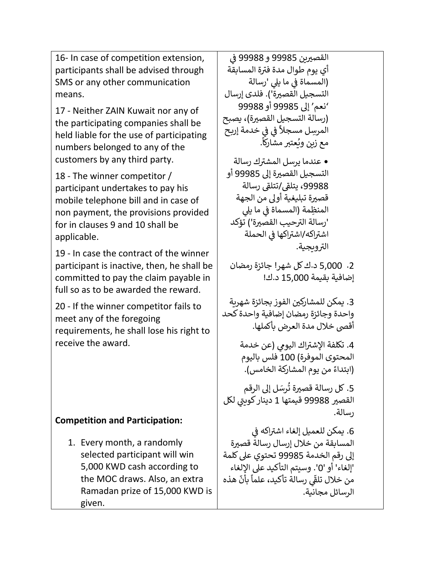16- In case of competition extension, participants shall be advised through SMS or any other communication means.

17 - Neither ZAIN Kuwait nor any of the participating companies shall be held liable for the use of participating numbers belonged to any of the customers by any third party.

18 - The winner competitor / participant undertakes to pay his mobile telephone bill and in case of non payment, the provisions provided for in clauses 9 and 10 shall be applicable.

19 - In case the contract of the winner participant is inactive, then, he shall be committed to pay the claim payable in full so as to be awarded the reward.

20 - If the winner competitor fails to meet any of the foregoing requirements, he shall lose his right to receive the award.

## **Competition and Participation:**

1. Every month, a randomly selected participant will win 5,000 KWD cash according to the MOC draws. Also, an extra Ramadan prize of 15,000 KWD is given.

القصيرين 99985 و 99988 في ي ة المسابقة أي يوم طوال مدة فت <sup>ر</sup> ي ֧֧֧֧֧֧֧֧֧֛֧֧֚֚֚֚֚֚֚֚֚֚֚֚֚֚֚֚֚֚֚֚֚֚֚֚֚֚֝֝֓֝֓֝֓֝֓֝֓֜֜֜֝֓֜֝ (المسماة في ما يلي 'رسالة<br>. التسجيل القصيرة'). فلدى إرسال 'نعم' إىل 99985 أو 99988 (رسالة التسجيل القصيرة)، يصبح ي خدمة إربـح ي ف ف ֦֧֦֧֦֧֦֧֦֧֦֧ׅׅ֪֪֦֧֚֚֡֜֜֓֡֜֓֡֡֜֡֜֓֡֡֜֓֡֡ ֦֧֦֧֦֧֦֧֦֧֦֧ׅׅ֪֪֦֧֚֚֡֜֜֓֡֜֓֡֡֜֡֜֓֡֡֜֓֡֡ ้ المرِسل مسجال . .<br>آذا مع زين ويُعتبر مشاركاً ُ ● عندما يرسل المشترك رسالة التسجيل القصيرة إلى 99985 أو . - يت<br>99988، يتلقى/تتلقى رسالة قصيرة تبليغية أولى من الجهة المنظِمة (المسماة في ما يلي ي ֦֧֦֧֦֧֦֧֦֧֦֧֦֧֚֚֡֜֜֜֜֜֜ 'رسالَة الترحيب القصيرة') تؤكد ر<br>اشتراكه/اشتراكها في الحملة ي ֦֧֦֧֦֧֦֧֦֧֦֧֦֧֚֚֡֜֜֜֜֜֜ الترويجية. .2 5,000 د.ككل شهر! جائزة رمضان إضافية بقيمة 15,000 د.ك! 3. يمكن للمشاركين الفوز بجائزة شهري<mark>ة</mark> واحدة وجائزة رمضان إضافية واحدة كحد أقىص خالل مدة العرض بأكملها . 4. تكلفة الإشتراك اليو<mark>مي (عن خد</mark>مة المحتوى الموفرة) 100 فلس باليوم ر. .<br>(ابتداءً من يوم المشاركة الخامس). 5. كل رسالة قصيرة تُرسَل إلى الرقم ُ القصير 99988 قيمتها 1 دينار كوب<sub>ن</sub>ي لكل ي رسالة. . يمكن للعميل إلغاء اشتراكه في ֦֧֦֧֦֧֦֧֦֧֦֧֦֧֦֧֦֧֧֦֧֦֧֚֡֜֜֓֜֜֜ المسابقة من خلال إرسال رسالة قصيرة إىل رقم الخدمة 99985 تحتوي عىل كلمة 'إلغاء' أو '0'. وسيتم التأكيد عىل اإللغاء هذه ֧֦֧֦֧֪֪֦֧֪֦֧֦֧֪֦֧֧֪֪֦֧֪֦֧֚֡֬֝֝֝֝֝֝֬֝֝֬<br>֧֧֧֧֧֧֧֧֧֪֧֪֧֪֧֩ بأن ا<br>أ رسالة تأكيد، علما ي من خلال تلقّى<br>من خلال تلقّى الرسائل مجانية.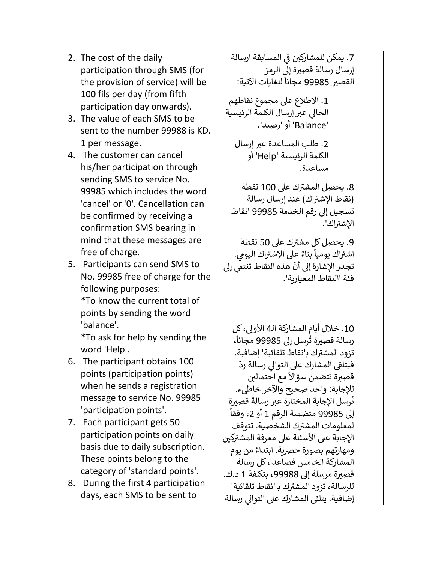- 2. The cost of the daily participation through SMS (for the provision of service) will be 100 fils per day (from fifth participation day onwards).
- 3. The value of each SMS to be sent to the number 99988 is KD. 1 per message.
- 4. The customer can cancel his/her participation through sending SMS to service No. 99985 which includes the word 'cancel' or '0'. Cancellation can be confirmed by receiving a confirmation SMS bearing in mind that these messages are free of charge.
- 5. Participants can send SMS to No. 99985 free of charge for the following purposes: \*To know the current total of

points by sending the word 'balance'.

\*To ask for help by sending the word 'Help'.

- 6. The participant obtains 100 points (participation points) when he sends a registration message to service No. 99985 'participation points'.
- 7. Each participant gets 50 participation points on daily basis due to daily subscription. These points belong to the category of 'standard points'.
- 8. During the first 4 participation days, each SMS to be sent to

7. يمكن للمشاركين في المسابقة ارسا<mark>لة</mark> ֧֦֧֢֦֧֦֧֚֬֝֜֜֜֜֜ إرسال رسالة قصيرة إلى الرمز القصير 99985 مجاناً للغايات الآتية: ر<br>آ مجانا

.1 االطالع عىل مجموع نقاطهم الحالي عبر إرسال الكلمة الرئيسية 'Balance 'أو 'رصيد'.

2. طلب المساعدة عبر إرسال الكلمة الرئيسية 'Help 'أو مساعدة.

8. يحصل المشترك على 100 نقطة .<br>(نقاط الإشتراك) عند إرسال رسالة تسجيل إىل رقم الخدمة 99985 'نقاط .<br>الإشتراك'.

9. يحصل كل مشترك على 50 نقطة .<br>بناءً على الإشتراك اليومي. ا<br>أ ۔<br>اشتراك يومياً هذه النقاط تنتمي إلى -<br>: تجدر الإشارة إلى أنّ فئة 'النقاط المعيارية'.

.10 خالل أيام المشاركة الـ 4 األوىل، كل رسالة قصيرة تُرسل إلى 99985 مجاناً، ُ -<br>آ مجانا ت<br>تزود المشترك ب'نقاط تلقائية' إضافية. ررت<br>فيتلقى المشارك على التوالي رسالة ردّ معودي ربعات<br>دَّ مع احتمالين قصيرة تتضمن سؤالاً للإجابة: واحد صحيح والآخر خاطيء. تُرسل الإجابة المختارة عبر رسالة قصيرة ُ ֧֧֧֧֧֧֧֧֧֧֧֧֧֧֧֧֧֧֦֧֧֧֧֧֧֚֓֓֝֬֓֝֬֓֝֬֓֓֓֓֓֬֓֓֓֓֓֓֓֓֓֓֓֓֓֓֓֓֓֓֬֓֓֓֓֓֓֓֓֬֓֓֓֓֓֓֓֓֓<del>֛֖</del> إىل 99985 متضمنة الرقم 1 أو 2 ، وفقا .<br>لمعلومات المشترك الشخصية. تتوقف ر<br>الإجابة على الأسئلة على معرفة المشتركين ء . . .<br>ومهارتهم بصورة حصرية. ابتداءً من يوم المشاركة الخامس فصاعدا، كل رسالة قصيرة مرسلة إلى 99988، بتكلفة 1 د.ك. ك بـ 'نقاط تلقائية' للرسالة، تزود المشت <sup>ر</sup> رسالة على المشارك على التوالي رسالة<br>إضافية. يتلقى المشارك على التوالي رسالة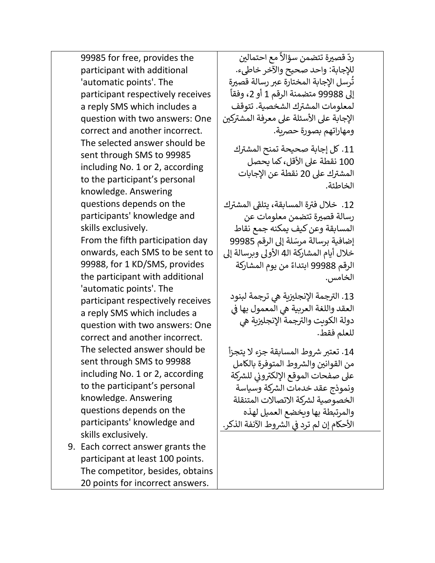99985 for free, provides the participant with additional 'automatic points'. The participant respectively receives a reply SMS which includes a question with two answers: One correct and another incorrect. The selected answer should be sent through SMS to 99985 including No. 1 or 2, according to the participant's personal knowledge. Answering questions depends on the participants' knowledge and skills exclusively. From the fifth participation day onwards, each SMS to be sent to 99988, for 1 KD/SMS, provides the participant with additional 'automatic points'. The participant respectively receives a reply SMS which includes a question with two answers: One correct and another incorrect. The selected answer should be sent through SMS to 99988 including No. 1 or 2, according to the participant's personal knowledge. Answering questions depends on the participants' knowledge and skills exclusively. 9. Each correct answer grants the

participant at least 100 points. The competitor, besides, obtains 20 points for incorrect answers.

ر<br>داً مع احتمالين ردّ قصيرة تتضمن سؤالاً للإجابة: واحد صحيح والآخر خاطيء. تُرسل الإجابة المختارة عبر رسالة قصيرة ُ ֺ֖֖֖֖֖֖֖֖֖֖֧֪֖֧֪֪ׅ֖֧֧֧֧֧֧֧֚֚֚֚֚֚֚֚֚֚֚֚֚֚֚֚֚֚֚֝֓֟֓֟֓֞֓֝֓֞֓֝֓֞֟֓֓֓֞֓֝֬֓֓֝֬֝֓֝֬֝֬֝֬֝֬֝֬֝֬֝֬֝֬֝֬֝֬ إىل 99988 متضمنة الرقم 1 أو 2 ، وفقا .<br>لمعلومات المشترك الشخصية. تتوقف ر<br>الإجابة على الأسئلة على معرفة المشتركين ومهاراتهم بصورة حصربة.

11. كل إجابة صحيحة تمنح المشترك 100 نقطة على الأقل، كما يحصل ر<br>المشترك على 20 نقطة عن الإجابات الخاطئة.

.<br>12. خلال فترة المسابقة، يتلقى المشترك رسالة قصيرة تتضمن معلومات عن المسابقة وعن كيف يمكنه جمع نقاط ء .<br>إضافية برسالة مرسَلة إلى الرقم 99985 خلال أيام المشاركة الـ4 الأولى وبرسالة إلى ًالرقم 99988 ابتداءً من يوم المشاركة الخامس.

.<br>13. الترجمة الإنجليزية هي ترجمة لبنود ي ֧֧֧֧֧֧֧֧֚֚֚֚֚֚֚֚֚֚֚֚֚֚֚֚֚֚֚֚֚֚֚֚֚֡֝֓֝֓֝֓֝֓֝֓֝֓֜ العقد واللغة العربية هي المعمول بها في<br>. وبي.<br>دولة الكويت والترجمة الإنجليزية هي للعلم فقط.

14. تعتبر شروط المسابقة جزء لا يتجزأ من القوانين والشروط المتوفرة بالكامل ت - ر- يت ر- .<br>على صفحات الموقع الإلكتروني للشركة ي ونموذج عقد خدمات الشركة وسياسة الخصوصية لشركة الاتصالات المتنقلة والمرتبطة بها ويخضع العميل لهذه الأحكام إن لم ترد في الشروط الآنفة الذكر. ي ֦֧֦֧֦֧֦֧֦֧֢֦֧֦֧֦֧֚֚֡֜֜֜֜֓֡֜֜֜֜֜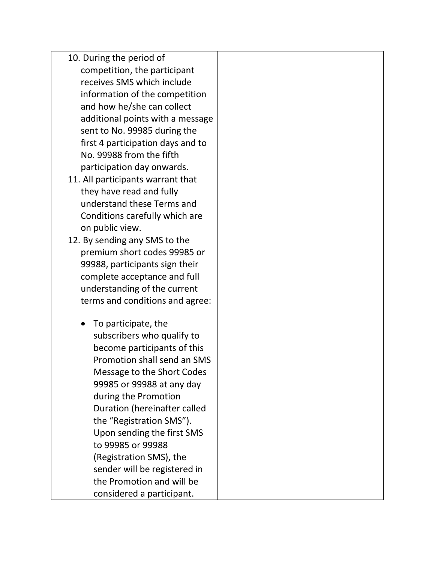- 10. During the period of competition, the participant receives SMS which include information of the competition and how he/she can collect additional points with a message sent to No. 99985 during the first 4 participation days and to No. 99988 from the fifth participation day onwards.
- 11. All participants warrant that they have read and fully understand these Terms and Conditions carefully which are on public view.
- 12. By sending any SMS to the premium short codes 99985 or 99988, participants sign their complete acceptance and full understanding of the current terms and conditions and agree:
	- To participate, the subscribers who qualify to become participants of this Promotion shall send an SMS Message to the Short Codes 99985 or 99988 at any day during the Promotion Duration (hereinafter called the "Registration SMS"). Upon sending the first SMS to 99985 or 99988 (Registration SMS), the sender will be registered in the Promotion and will be considered a participant.